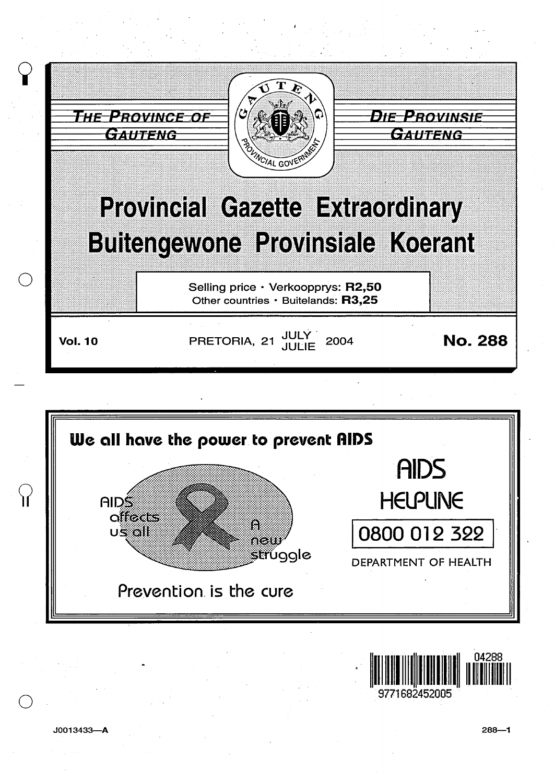





 $J0013433 - A$ 

 $\mathcal{A}$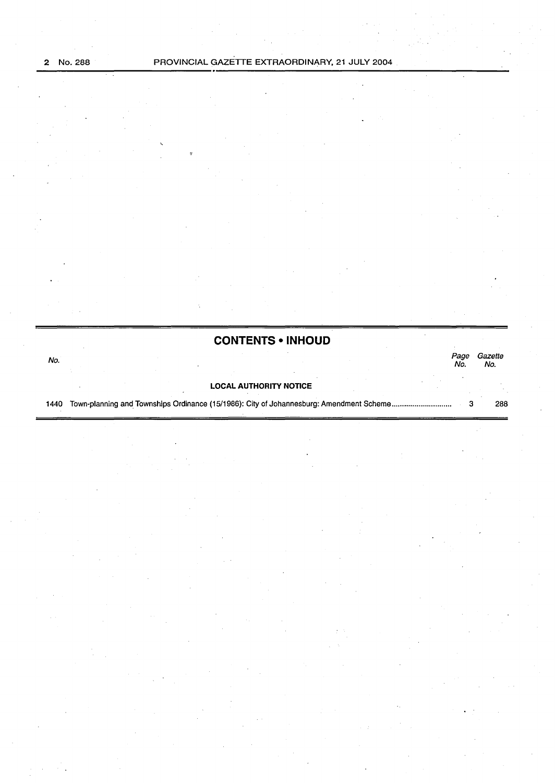|      | <b>CONTENTS • INHOUD</b>                                                                |             |                |
|------|-----------------------------------------------------------------------------------------|-------------|----------------|
| No.  |                                                                                         | Page<br>No. | Gazette<br>No. |
|      | <b>LOCAL AUTHORITY NOTICE</b>                                                           |             |                |
| 1440 | Town-planning and Townships Ordinance (15/1986): City of Johannesburg: Amendment Scheme |             | 288            |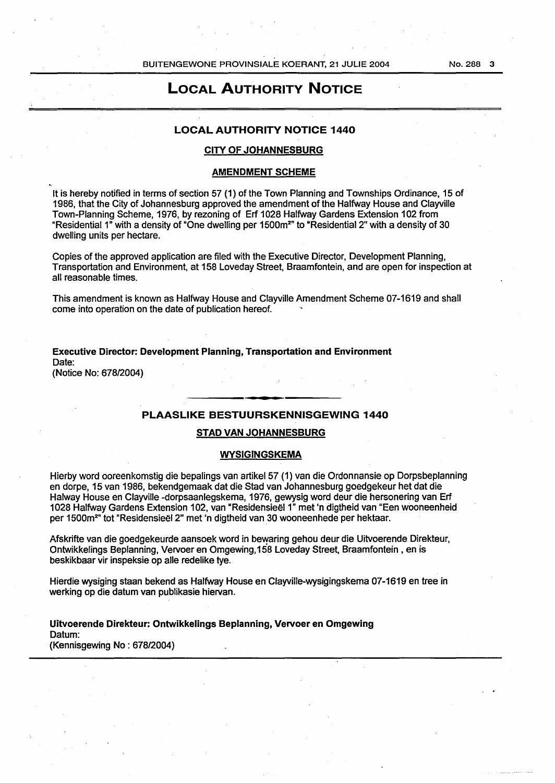# LOCAL AUTHORITY NOTICE

## LOCAL AUTHORITY NOTICE 1440

## CITY OF JOHANNESBURG

### AMENDMENT SCHEME

It is hereby notified in terms of section 57 (1) of the Town Planning and Townships Ordinance, 15 of 1986, that the City of Johannesburg approved the amendment of the Halfway House and Clayville Town-Planning Scheme, 1976, by rezoning of Erf 1028 Halfway Gardens Extension 102 from "Residential 1" with a density of "One dwelling per 1500m²" to "Residential 2" with a density of 30  $\,$ dwelling units per hectare.

Copies of the approved application are filed with the Executive Director, Development Planning, Transportation and Environment, at 158 Loveday Street, Braamfontein, and are open for inspection at all reasonable times.

This amendment is known as Halfway House and Clayville Amendment Scheme 07-1619 and shall come into operation on the date of publication hereof.

Executive Director: Development Planning, Transportation and Environment Date:

(Notice No: 678/2004)

## PLAASLIKE BESTUURSKENNISGEWING 1440

#### STAD VAN JOHANNESBURG

#### WYSIGINGSKEMA

Hierby word ooreenkomstig die bepalings van artikel57 (1) van die Ordonnansie op Dorpsbeplanning en dorpe, 15 van 1986, bekendgemaak dat die Stad van Johannesburg goedgekeur het dat die Halway House en Clayville -dorpsaanlegskema, 1976, gewysig word deur die hersonering van Erf 1028 Halfway Gardens Extension 102, van "Residensieel1" met 'n digtheid van "Een wooneenheid per 1500m2" tot "Residensieel 2" met 'n digtheid van 30 wooneenhede per hektaar.

Afskrifte van die goedgekeurde aansoek word in bewaring gehou deur die Uitvoerende Direkteur, Ontwikkelings Beplanning, Vervoer en Omgewing, 158 Loveday Street, Braamfontein , en is beskikbaar vir inspeksie op aile redelike tye.

Hierdie wysiging staan bekend as Halfway House en Clayville-wysigingskema 07-1619 en tree in werking op die datum van publikasie hiervan.

Uitvoerende Direkteur: Ontwikkelings Beplanning, Vervoer en Omgewing Datum: (Kennisgewing No : 678/2004)

No. 288